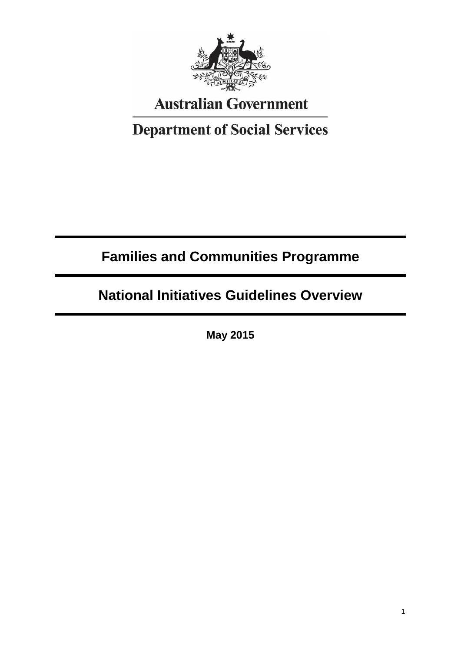

# **Australian Government**

# **Department of Social Services**

# **Families and Communities Programme**

# **National Initiatives Guidelines Overview**

**May 2015**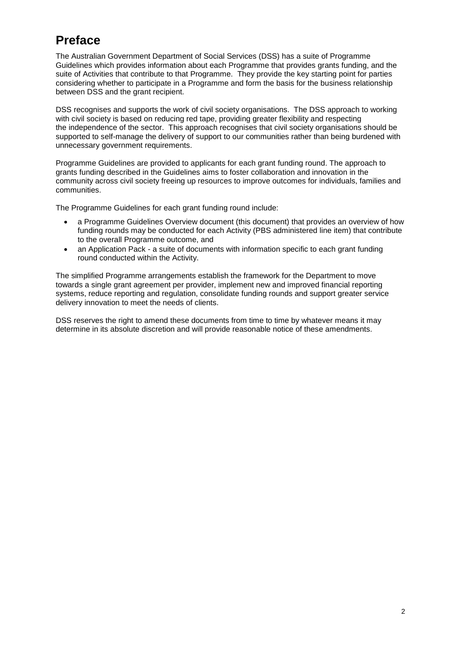## **Preface**

The Australian Government Department of Social Services (DSS) has a suite of Programme Guidelines which provides information about each Programme that provides grants funding, and the suite of Activities that contribute to that Programme. They provide the key starting point for parties considering whether to participate in a Programme and form the basis for the business relationship between DSS and the grant recipient.

DSS recognises and supports the work of civil society organisations. The DSS approach to working with civil society is based on reducing red tape, providing greater flexibility and respecting the independence of the sector. This approach recognises that civil society organisations should be supported to self-manage the delivery of support to our communities rather than being burdened with unnecessary government requirements.

Programme Guidelines are provided to applicants for each grant funding round. The approach to grants funding described in the Guidelines aims to foster collaboration and innovation in the community across civil society freeing up resources to improve outcomes for individuals, families and communities.

The Programme Guidelines for each grant funding round include:

- a Programme Guidelines Overview document (this document) that provides an overview of how funding rounds may be conducted for each Activity (PBS administered line item) that contribute to the overall Programme outcome, and
- an Application Pack a suite of documents with information specific to each grant funding round conducted within the Activity.

The simplified Programme arrangements establish the framework for the Department to move towards a single grant agreement per provider, implement new and improved financial reporting systems, reduce reporting and regulation, consolidate funding rounds and support greater service delivery innovation to meet the needs of clients.

DSS reserves the right to amend these documents from time to time by whatever means it may determine in its absolute discretion and will provide reasonable notice of these amendments.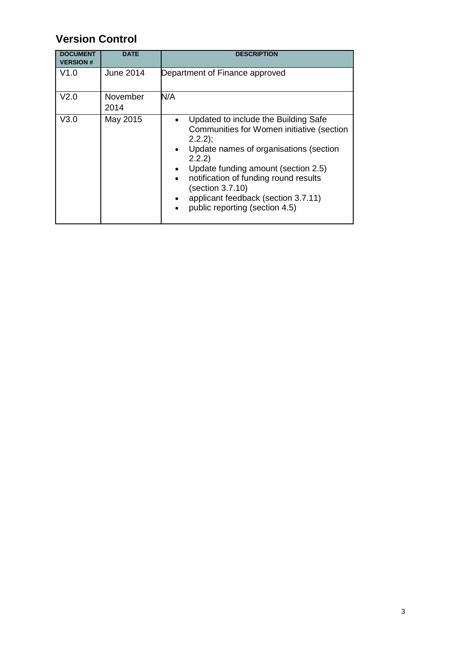## **Version Control**

| <b>DOCUMENT</b><br><b>VERSION#</b> | <b>DATE</b>      | <b>DESCRIPTION</b>                                                                                                                                                                                                                                                                                                                                                                               |
|------------------------------------|------------------|--------------------------------------------------------------------------------------------------------------------------------------------------------------------------------------------------------------------------------------------------------------------------------------------------------------------------------------------------------------------------------------------------|
| V1.0                               | June 2014        | Department of Finance approved                                                                                                                                                                                                                                                                                                                                                                   |
| V <sub>2.0</sub>                   | November<br>2014 | N/A                                                                                                                                                                                                                                                                                                                                                                                              |
| V3.0                               | May 2015         | Updated to include the Building Safe<br>$\bullet$<br>Communities for Women initiative (section<br>$2.2.2$ ;<br>Update names of organisations (section<br>$\bullet$<br>2.2.2)<br>Update funding amount (section 2.5)<br>notification of funding round results<br>$\bullet$<br>(section 3.7.10)<br>applicant feedback (section 3.7.11)<br>$\bullet$<br>public reporting (section 4.5)<br>$\bullet$ |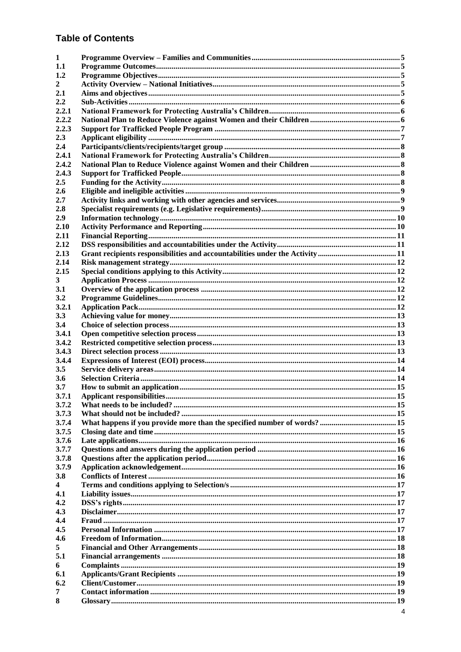#### **Table of Contents**

| 1              |  |
|----------------|--|
| 1.1            |  |
| 1.2            |  |
| 2              |  |
| 2.1            |  |
| 2.2            |  |
| 2.2.1          |  |
| 2.2.2          |  |
| 2.2.3          |  |
| 2.3            |  |
| 2.4            |  |
| 2.4.1<br>2.4.2 |  |
| 2.4.3          |  |
| 2.5            |  |
| 2.6            |  |
| 2.7            |  |
| 2.8            |  |
| 2.9            |  |
| 2.10           |  |
| 2.11           |  |
| 2.12           |  |
| 2.13           |  |
| 2.14           |  |
| 2.15           |  |
| 3              |  |
| 3.1            |  |
| 3.2            |  |
| 3.2.1          |  |
| 3.3            |  |
| 3.4            |  |
| 3.4.1          |  |
| 3.4.2          |  |
| 3.4.3          |  |
| 3.4.4          |  |
| 3.5            |  |
| 3.6            |  |
| 3.7            |  |
| 3.7.1          |  |
| 3.7.2          |  |
| 3.7.3          |  |
| 3.7.4<br>3.7.5 |  |
| 3.7.6          |  |
| 3.7.7          |  |
| 3.7.8          |  |
| 3.7.9          |  |
| 3.8            |  |
| 4              |  |
| 4.1            |  |
| 4.2            |  |
| 4.3            |  |
| 4.4            |  |
| 4.5            |  |
| 4.6            |  |
| 5              |  |
| 5.1            |  |
| 6              |  |
| 6.1            |  |
| 6.2            |  |
| 7              |  |
| 8              |  |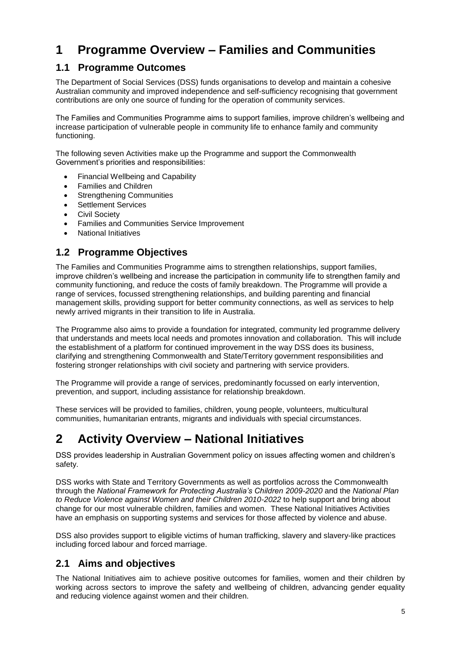## **1 Programme Overview – Families and Communities**

### **1.1 Programme Outcomes**

The Department of Social Services (DSS) funds organisations to develop and maintain a cohesive Australian community and improved independence and self-sufficiency recognising that government contributions are only one source of funding for the operation of community services.

The Families and Communities Programme aims to support families, improve children's wellbeing and increase participation of vulnerable people in community life to enhance family and community functioning.

The following seven Activities make up the Programme and support the Commonwealth Government's priorities and responsibilities:

- Financial Wellbeing and Capability
- Families and Children
- Strengthening Communities
- **•** Settlement Services
- Civil Society
- Families and Communities Service Improvement
- National Initiatives

## **1.2 Programme Objectives**

The Families and Communities Programme aims to strengthen relationships, support families, improve children's wellbeing and increase the participation in community life to strengthen family and community functioning, and reduce the costs of family breakdown. The Programme will provide a range of services, focussed strengthening relationships, and building parenting and financial management skills, providing support for better community connections, as well as services to help newly arrived migrants in their transition to life in Australia.

The Programme also aims to provide a foundation for integrated, community led programme delivery that understands and meets local needs and promotes innovation and collaboration. This will include the establishment of a platform for continued improvement in the way DSS does its business, clarifying and strengthening Commonwealth and State/Territory government responsibilities and fostering stronger relationships with civil society and partnering with service providers.

The Programme will provide a range of services, predominantly focussed on early intervention, prevention, and support, including assistance for relationship breakdown.

These services will be provided to families, children, young people, volunteers, multicultural communities, humanitarian entrants, migrants and individuals with special circumstances.

## **2 Activity Overview – National Initiatives**

DSS provides leadership in Australian Government policy on issues affecting women and children's safety.

DSS works with State and Territory Governments as well as portfolios across the Commonwealth through the *National Framework for Protecting Australia's Children 2009-2020* and the *National Plan to Reduce Violence against Women and their Children 2010-2022* to help support and bring about change for our most vulnerable children, families and women. These National Initiatives Activities have an emphasis on supporting systems and services for those affected by violence and abuse.

DSS also provides support to eligible victims of human trafficking, slavery and slavery-like practices including forced labour and forced marriage.

## **2.1 Aims and objectives**

The National Initiatives aim to achieve positive outcomes for families, women and their children by working across sectors to improve the safety and wellbeing of children, advancing gender equality and reducing violence against women and their children.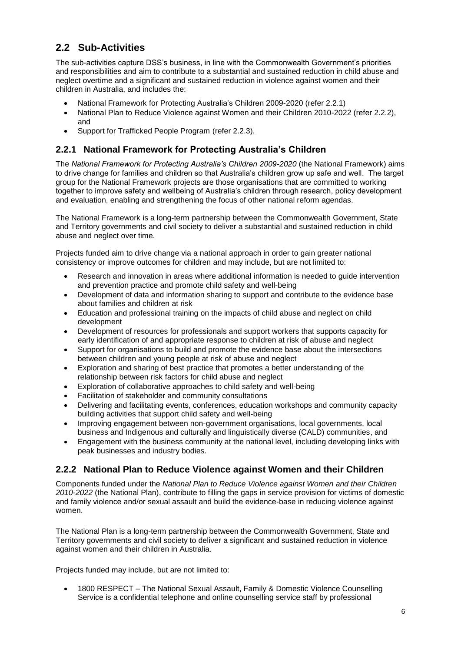## **2.2 Sub-Activities**

The sub-activities capture DSS's business, in line with the Commonwealth Government's priorities and responsibilities and aim to contribute to a substantial and sustained reduction in child abuse and neglect overtime and a significant and sustained reduction in violence against women and their children in Australia, and includes the:

- National Framework for Protecting Australia's Children 2009-2020 (refer 2.2.1)
- National Plan to Reduce Violence against Women and their Children 2010-2022 (refer 2.2.2), and
- Support for Trafficked People Program (refer 2.2.3).

#### **2.2.1 National Framework for Protecting Australia's Children**

The *National Framework for Protecting Australia's Children 2009-2020* (the National Framework) aims to drive change for families and children so that Australia's children grow up safe and well. The target group for the National Framework projects are those organisations that are committed to working together to improve safety and wellbeing of Australia's children through research, policy development and evaluation, enabling and strengthening the focus of other national reform agendas.

The National Framework is a long-term partnership between the Commonwealth Government, State and Territory governments and civil society to deliver a substantial and sustained reduction in child abuse and neglect over time.

Projects funded aim to drive change via a national approach in order to gain greater national consistency or improve outcomes for children and may include, but are not limited to:

- Research and innovation in areas where additional information is needed to guide intervention and prevention practice and promote child safety and well-being
- Development of data and information sharing to support and contribute to the evidence base about families and children at risk
- Education and professional training on the impacts of child abuse and neglect on child development
- Development of resources for professionals and support workers that supports capacity for early identification of and appropriate response to children at risk of abuse and neglect
- Support for organisations to build and promote the evidence base about the intersections between children and young people at risk of abuse and neglect
- Exploration and sharing of best practice that promotes a better understanding of the relationship between risk factors for child abuse and neglect
- Exploration of collaborative approaches to child safety and well-being
- Facilitation of stakeholder and community consultations
- Delivering and facilitating events, conferences, education workshops and community capacity building activities that support child safety and well-being
- Improving engagement between non-government organisations, local governments, local business and Indigenous and culturally and linguistically diverse (CALD) communities, and
- Engagement with the business community at the national level, including developing links with peak businesses and industry bodies.

#### **2.2.2 National Plan to Reduce Violence against Women and their Children**

Components funded under the *National Plan to Reduce Violence against Women and their Children 2010-2022* (the National Plan), contribute to filling the gaps in service provision for victims of domestic and family violence and/or sexual assault and build the evidence-base in reducing violence against women.

The National Plan is a long-term partnership between the Commonwealth Government, State and Territory governments and civil society to deliver a significant and sustained reduction in violence against women and their children in Australia.

Projects funded may include, but are not limited to:

 1800 RESPECT – The National Sexual Assault, Family & Domestic Violence Counselling Service is a confidential telephone and online counselling service staff by professional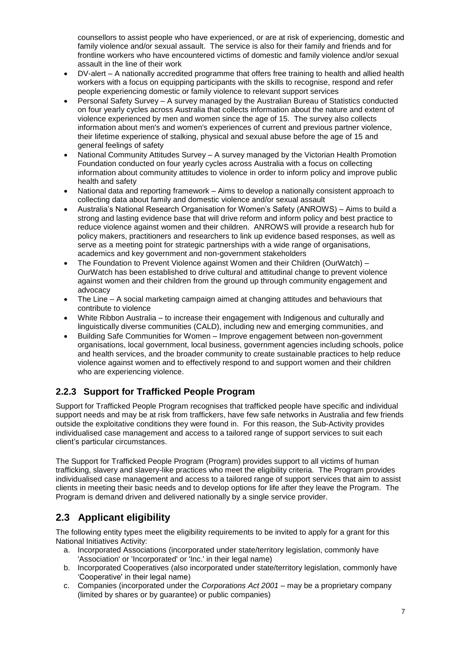counsellors to assist people who have experienced, or are at risk of experiencing, domestic and family violence and/or sexual assault. The service is also for their family and friends and for frontline workers who have encountered victims of domestic and family violence and/or sexual assault in the line of their work

- DV-alert A nationally accredited programme that offers free training to health and allied health workers with a focus on equipping participants with the skills to recognise, respond and refer people experiencing domestic or family violence to relevant support services
- Personal Safety Survey A survey managed by the Australian Bureau of Statistics conducted on four yearly cycles across Australia that collects information about the nature and extent of violence experienced by men and women since the age of 15. The survey also collects information about men's and women's experiences of current and previous partner violence, their lifetime experience of stalking, physical and sexual abuse before the age of 15 and general feelings of safety
- National Community Attitudes Survey A survey managed by the Victorian Health Promotion Foundation conducted on four yearly cycles across Australia with a focus on collecting information about community attitudes to violence in order to inform policy and improve public health and safety
- National data and reporting framework Aims to develop a nationally consistent approach to collecting data about family and domestic violence and/or sexual assault
- Australia's National Research Organisation for Women's Safety (ANROWS) Aims to build a strong and lasting evidence base that will drive reform and inform policy and best practice to reduce violence against women and their children. ANROWS will provide a research hub for policy makers, practitioners and researchers to link up evidence based responses, as well as serve as a meeting point for strategic partnerships with a wide range of organisations, academics and key government and non-government stakeholders
- The Foundation to Prevent Violence against Women and their Children (OurWatch) OurWatch has been established to drive cultural and attitudinal change to prevent violence against women and their children from the ground up through community engagement and advocacy
- The Line A social marketing campaign aimed at changing attitudes and behaviours that contribute to violence
- White Ribbon Australia to increase their engagement with Indigenous and culturally and linguistically diverse communities (CALD), including new and emerging communities, and
- Building Safe Communities for Women Improve engagement between non-government organisations, local government, local business, government agencies including schools, police and health services, and the broader community to create sustainable practices to help reduce violence against women and to effectively respond to and support women and their children who are experiencing violence.

#### **2.2.3 Support for Trafficked People Program**

Support for Trafficked People Program recognises that trafficked people have specific and individual support needs and may be at risk from traffickers, have few safe networks in Australia and few friends outside the exploitative conditions they were found in. For this reason, the Sub-Activity provides individualised case management and access to a tailored range of support services to suit each client's particular circumstances.

The Support for Trafficked People Program (Program) provides support to all victims of human trafficking, slavery and slavery-like practices who meet the eligibility criteria. The Program provides individualised case management and access to a tailored range of support services that aim to assist clients in meeting their basic needs and to develop options for life after they leave the Program. The Program is demand driven and delivered nationally by a single service provider.

## **2.3 Applicant eligibility**

The following entity types meet the eligibility requirements to be invited to apply for a grant for this National Initiatives Activity:

- a. Incorporated Associations (incorporated under state/territory legislation, commonly have 'Association' or 'Incorporated' or 'Inc.' in their legal name)
- b. Incorporated Cooperatives (also incorporated under state/territory legislation, commonly have 'Cooperative' in their legal name)
- c. Companies (incorporated under the *Corporations Act 2001* may be a proprietary company (limited by shares or by guarantee) or public companies)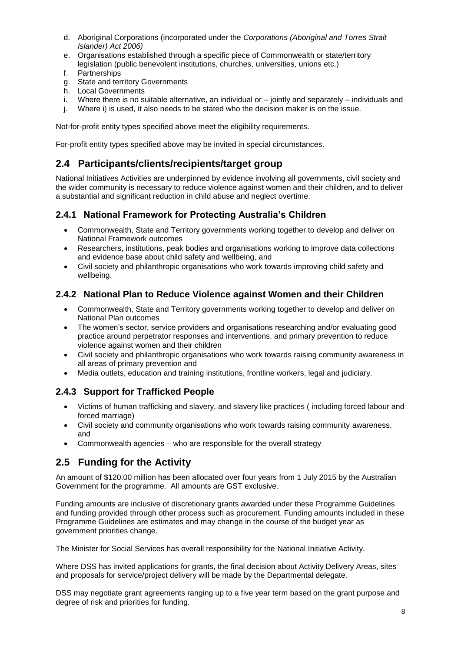- d. Aboriginal Corporations (incorporated under the *Corporations (Aboriginal and Torres Strait Islander) Act 2006)*
- e. Organisations established through a specific piece of Commonwealth or state/territory legislation (public benevolent institutions, churches, universities, unions etc.)
- f. Partnerships
- g. State and territory Governments
- h. Local Governments
- i. Where there is no suitable alternative, an individual or jointly and separately individuals and
- j. Where i) is used, it also needs to be stated who the decision maker is on the issue.

Not-for-profit entity types specified above meet the eligibility requirements.

For-profit entity types specified above may be invited in special circumstances.

#### **2.4 Participants/clients/recipients/target group**

National Initiatives Activities are underpinned by evidence involving all governments, civil society and the wider community is necessary to reduce violence against women and their children, and to deliver a substantial and significant reduction in child abuse and neglect overtime.

#### **2.4.1 National Framework for Protecting Australia's Children**

- Commonwealth, State and Territory governments working together to develop and deliver on National Framework outcomes
- Researchers, institutions, peak bodies and organisations working to improve data collections and evidence base about child safety and wellbeing, and
- Civil society and philanthropic organisations who work towards improving child safety and wellbeing.

#### **2.4.2 National Plan to Reduce Violence against Women and their Children**

- Commonwealth, State and Territory governments working together to develop and deliver on National Plan outcomes
- The women's sector, service providers and organisations researching and/or evaluating good practice around perpetrator responses and interventions, and primary prevention to reduce violence against women and their children
- Civil society and philanthropic organisations who work towards raising community awareness in all areas of primary prevention and
- Media outlets, education and training institutions, frontline workers, legal and judiciary.

#### **2.4.3 Support for Trafficked People**

- Victims of human trafficking and slavery, and slavery like practices ( including forced labour and forced marriage)
- Civil society and community organisations who work towards raising community awareness, and
- Commonwealth agencies who are responsible for the overall strategy

#### **2.5 Funding for the Activity**

An amount of \$120.00 million has been allocated over four years from 1 July 2015 by the Australian Government for the programme. All amounts are GST exclusive.

Funding amounts are inclusive of discretionary grants awarded under these Programme Guidelines and funding provided through other process such as procurement. Funding amounts included in these Programme Guidelines are estimates and may change in the course of the budget year as government priorities change.

The Minister for Social Services has overall responsibility for the National Initiative Activity.

Where DSS has invited applications for grants, the final decision about Activity Delivery Areas, sites and proposals for service/project delivery will be made by the Departmental delegate.

DSS may negotiate grant agreements ranging up to a five year term based on the grant purpose and degree of risk and priorities for funding.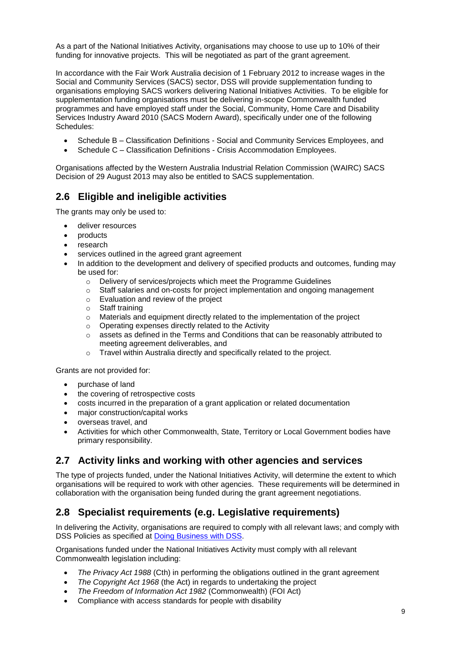As a part of the National Initiatives Activity, organisations may choose to use up to 10% of their funding for innovative projects. This will be negotiated as part of the grant agreement.

In accordance with the Fair Work Australia decision of 1 February 2012 to increase wages in the Social and Community Services (SACS) sector, DSS will provide supplementation funding to organisations employing SACS workers delivering National Initiatives Activities. To be eligible for supplementation funding organisations must be delivering in-scope Commonwealth funded programmes and have employed staff under the Social, Community, Home Care and Disability Services Industry Award 2010 (SACS Modern Award), specifically under one of the following Schedules:

- Schedule B Classification Definitions Social and Community Services Employees, and
- Schedule C Classification Definitions Crisis Accommodation Employees.

Organisations affected by the Western Australia Industrial Relation Commission (WAIRC) SACS Decision of 29 August 2013 may also be entitled to SACS supplementation.

### **2.6 Eligible and ineligible activities**

The grants may only be used to:

- deliver resources
- products
- research
- services outlined in the agreed grant agreement
- In addition to the development and delivery of specified products and outcomes, funding may be used for:
	- o Delivery of services/projects which meet the Programme Guidelines
	- o Staff salaries and on-costs for project implementation and ongoing management
	- o Evaluation and review of the project
	- o Staff training
	- o Materials and equipment directly related to the implementation of the project
	- o Operating expenses directly related to the Activity
	- assets as defined in the Terms and Conditions that can be reasonably attributed to meeting agreement deliverables, and
	- o Travel within Australia directly and specifically related to the project.

Grants are not provided for:

- purchase of land
- the covering of retrospective costs
- costs incurred in the preparation of a grant application or related documentation
- major construction/capital works
- overseas travel, and
- Activities for which other Commonwealth, State, Territory or Local Government bodies have primary responsibility.

#### **2.7 Activity links and working with other agencies and services**

The type of projects funded, under the National Initiatives Activity, will determine the extent to which organisations will be required to work with other agencies. These requirements will be determined in collaboration with the organisation being funded during the grant agreement negotiations.

#### **2.8 Specialist requirements (e.g. Legislative requirements)**

In delivering the Activity, organisations are required to comply with all relevant laws; and comply with DSS Policies as specified at **Doing Business with DSS**.

Organisations funded under the National Initiatives Activity must comply with all relevant Commonwealth legislation including:

- *The Privacy Act 1988* (Cth) in performing the obligations outlined in the grant agreement
- *The Copyright Act 1968* (the Act) in regards to undertaking the project
- *The Freedom of Information Act 1982* (Commonwealth) (FOI Act)
- Compliance with access standards for people with disability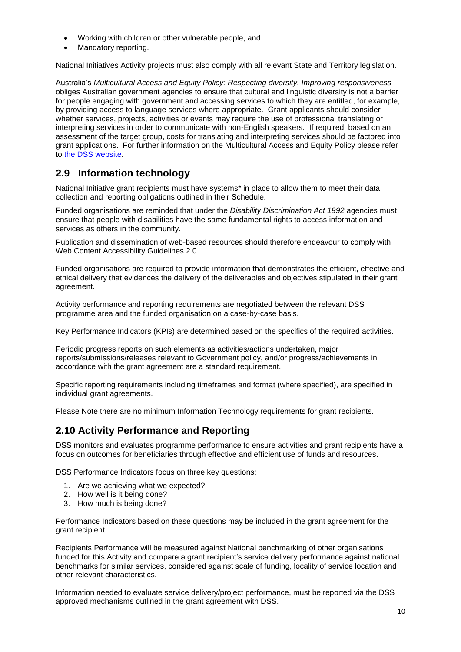- Working with children or other vulnerable people, and
- Mandatory reporting.

National Initiatives Activity projects must also comply with all relevant State and Territory legislation.

Australia's *Multicultural Access and Equity Policy: Respecting diversity. Improving responsiveness* obliges Australian government agencies to ensure that cultural and linguistic diversity is not a barrier for people engaging with government and accessing services to which they are entitled, for example, by providing access to language services where appropriate. Grant applicants should consider whether services, projects, activities or events may require the use of professional translating or interpreting services in order to communicate with non-English speakers. If required, based on an assessment of the target group, costs for translating and interpreting services should be factored into grant applications. For further information on the Multicultural Access and Equity Policy please refer to [the DSS website.](http://www.dss.gov.au/accessandequity)

## **2.9 Information technology**

National Initiative grant recipients must have systems\* in place to allow them to meet their data collection and reporting obligations outlined in their Schedule.

Funded organisations are reminded that under the *Disability Discrimination Act 1992* agencies must ensure that people with disabilities have the same fundamental rights to access information and services as others in the community.

Publication and dissemination of web-based resources should therefore endeavour to comply with Web Content Accessibility Guidelines 2.0.

Funded organisations are required to provide information that demonstrates the efficient, effective and ethical delivery that evidences the delivery of the deliverables and objectives stipulated in their grant agreement.

Activity performance and reporting requirements are negotiated between the relevant DSS programme area and the funded organisation on a case-by-case basis.

Key Performance Indicators (KPIs) are determined based on the specifics of the required activities.

Periodic progress reports on such elements as activities/actions undertaken, major reports/submissions/releases relevant to Government policy, and/or progress/achievements in accordance with the grant agreement are a standard requirement.

Specific reporting requirements including timeframes and format (where specified), are specified in individual grant agreements.

Please Note there are no minimum Information Technology requirements for grant recipients.

## **2.10 Activity Performance and Reporting**

DSS monitors and evaluates programme performance to ensure activities and grant recipients have a focus on outcomes for beneficiaries through effective and efficient use of funds and resources.

DSS Performance Indicators focus on three key questions:

- 1. Are we achieving what we expected?
- 2. How well is it being done?
- 3. How much is being done?

Performance Indicators based on these questions may be included in the grant agreement for the grant recipient.

Recipients Performance will be measured against National benchmarking of other organisations funded for this Activity and compare a grant recipient's service delivery performance against national benchmarks for similar services, considered against scale of funding, locality of service location and other relevant characteristics.

Information needed to evaluate service delivery/project performance, must be reported via the DSS approved mechanisms outlined in the grant agreement with DSS.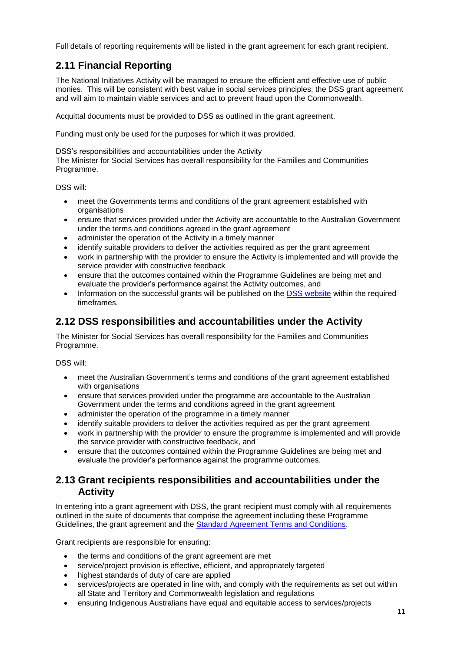Full details of reporting requirements will be listed in the grant agreement for each grant recipient.

## **2.11 Financial Reporting**

The National Initiatives Activity will be managed to ensure the efficient and effective use of public monies. This will be consistent with best value in social services principles; the DSS grant agreement and will aim to maintain viable services and act to prevent fraud upon the Commonwealth.

Acquittal documents must be provided to DSS as outlined in the grant agreement.

Funding must only be used for the purposes for which it was provided.

#### DSS's responsibilities and accountabilities under the Activity

The Minister for Social Services has overall responsibility for the Families and Communities Programme.

DSS will:

- meet the Governments terms and conditions of the grant agreement established with organisations
- ensure that services provided under the Activity are accountable to the Australian Government under the terms and conditions agreed in the grant agreement
- administer the operation of the Activity in a timely manner
- identify suitable providers to deliver the activities required as per the grant agreement
- work in partnership with the provider to ensure the Activity is implemented and will provide the service provider with constructive feedback
- ensure that the outcomes contained within the Programme Guidelines are being met and evaluate the provider's performance against the Activity outcomes, and
- Information on the successful grants will be published on the [DSS website](http://www.dss.gov.au/) within the required timeframes.

## **2.12 DSS responsibilities and accountabilities under the Activity**

The Minister for Social Services has overall responsibility for the Families and Communities Programme.

DSS will:

- meet the Australian Government's terms and conditions of the grant agreement established with organisations
- ensure that services provided under the programme are accountable to the Australian Government under the terms and conditions agreed in the grant agreement
- administer the operation of the programme in a timely manner
- identify suitable providers to deliver the activities required as per the grant agreement
- work in partnership with the provider to ensure the programme is implemented and will provide the service provider with constructive feedback, and
- ensure that the outcomes contained within the Programme Guidelines are being met and evaluate the provider's performance against the programme outcomes.

#### **2.13 Grant recipients responsibilities and accountabilities under the Activity**

In entering into a grant agreement with DSS, the grant recipient must comply with all requirements outlined in the suite of documents that comprise the agreement including these Programme Guidelines, the grant agreement and the [Standard Agreement Terms and Conditions.](http://www.dss.gov.au/grants-funding/general-information-on-funding/terms-and-conditions-standard-funding-agreement)

Grant recipients are responsible for ensuring:

- the terms and conditions of the grant agreement are met
- service/project provision is effective, efficient, and appropriately targeted
- highest standards of duty of care are applied
- services/projects are operated in line with, and comply with the requirements as set out within all State and Territory and Commonwealth legislation and regulations
- ensuring Indigenous Australians have equal and equitable access to services/projects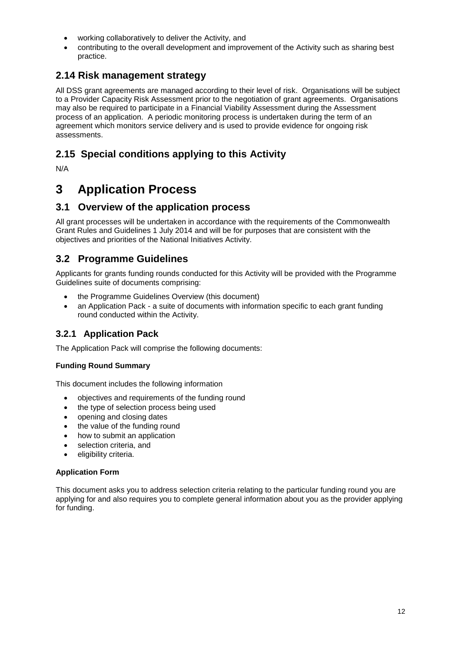- working collaboratively to deliver the Activity, and
- contributing to the overall development and improvement of the Activity such as sharing best practice.

### **2.14 Risk management strategy**

All DSS grant agreements are managed according to their level of risk. Organisations will be subject to a Provider Capacity Risk Assessment prior to the negotiation of grant agreements. Organisations may also be required to participate in a Financial Viability Assessment during the Assessment process of an application. A periodic monitoring process is undertaken during the term of an agreement which monitors service delivery and is used to provide evidence for ongoing risk assessments.

## **2.15 Special conditions applying to this Activity**

N/A

## **3 Application Process**

#### **3.1 Overview of the application process**

All grant processes will be undertaken in accordance with the requirements of the Commonwealth Grant Rules and Guidelines 1 July 2014 and will be for purposes that are consistent with the objectives and priorities of the National Initiatives Activity.

#### **3.2 Programme Guidelines**

Applicants for grants funding rounds conducted for this Activity will be provided with the Programme Guidelines suite of documents comprising:

- the Programme Guidelines Overview (this document)
- an Application Pack a suite of documents with information specific to each grant funding round conducted within the Activity.

#### **3.2.1 Application Pack**

The Application Pack will comprise the following documents:

#### **Funding Round Summary**

This document includes the following information

- objectives and requirements of the funding round
- the type of selection process being used
- opening and closing dates
- the value of the funding round
- how to submit an application
- selection criteria, and
- eligibility criteria.

#### **Application Form**

This document asks you to address selection criteria relating to the particular funding round you are applying for and also requires you to complete general information about you as the provider applying for funding.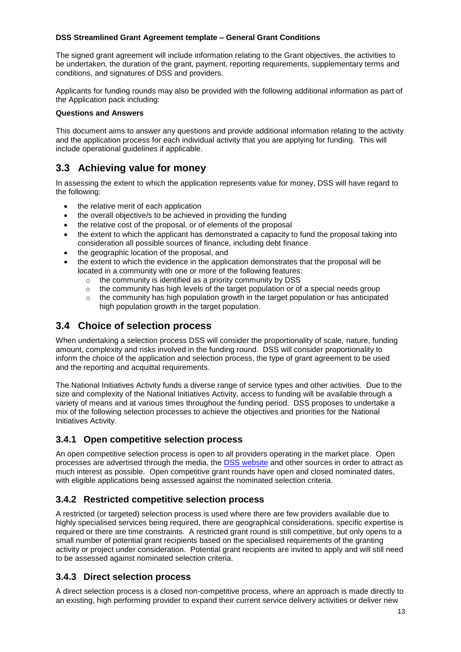#### **DSS Streamlined Grant Agreement template – General Grant Conditions**

The signed grant agreement will include information relating to the Grant objectives, the activities to be undertaken, the duration of the grant, payment, reporting requirements, supplementary terms and conditions, and signatures of DSS and providers.

Applicants for funding rounds may also be provided with the following additional information as part of the Application pack including:

#### **Questions and Answers**

This document aims to answer any questions and provide additional information relating to the activity and the application process for each individual activity that you are applying for funding. This will include operational guidelines if applicable.

### **3.3 Achieving value for money**

In assessing the extent to which the application represents value for money, DSS will have regard to the following:

- the relative merit of each application
- the overall objective/s to be achieved in providing the funding
- the relative cost of the proposal, or of elements of the proposal
- the extent to which the applicant has demonstrated a capacity to fund the proposal taking into consideration all possible sources of finance, including debt finance
- the geographic location of the proposal, and
- the extent to which the evidence in the application demonstrates that the proposal will be located in a community with one or more of the following features:
	- o the community is identified as a priority community by DSS
	- $\circ$  the community has high levels of the target population or of a special needs group
	- $\circ$  the community has high population growth in the target population or has anticipated high population growth in the target population.

#### **3.4 Choice of selection process**

When undertaking a selection process DSS will consider the proportionality of scale, nature, funding amount, complexity and risks involved in the funding round. DSS will consider proportionality to inform the choice of the application and selection process, the type of grant agreement to be used and the reporting and acquittal requirements.

The National Initiatives Activity funds a diverse range of service types and other activities. Due to the size and complexity of the National Initiatives Activity, access to funding will be available through a variety of means and at various times throughout the funding period. DSS proposes to undertake a mix of the following selection processes to achieve the objectives and priorities for the National Initiatives Activity.

#### **3.4.1 Open competitive selection process**

An open competitive selection process is open to all providers operating in the market place. Open processes are advertised through the media, the [DSS website](http://www.dss.gov.au/) and other sources in order to attract as much interest as possible. Open competitive grant rounds have open and closed nominated dates, with eligible applications being assessed against the nominated selection criteria.

#### **3.4.2 Restricted competitive selection process**

A restricted (or targeted) selection process is used where there are few providers available due to highly specialised services being required, there are geographical considerations, specific expertise is required or there are time constraints. A restricted grant round is still competitive, but only opens to a small number of potential grant recipients based on the specialised requirements of the granting activity or project under consideration. Potential grant recipients are invited to apply and will still need to be assessed against nominated selection criteria.

#### **3.4.3 Direct selection process**

A direct selection process is a closed non-competitive process, where an approach is made directly to an existing, high performing provider to expand their current service delivery activities or deliver new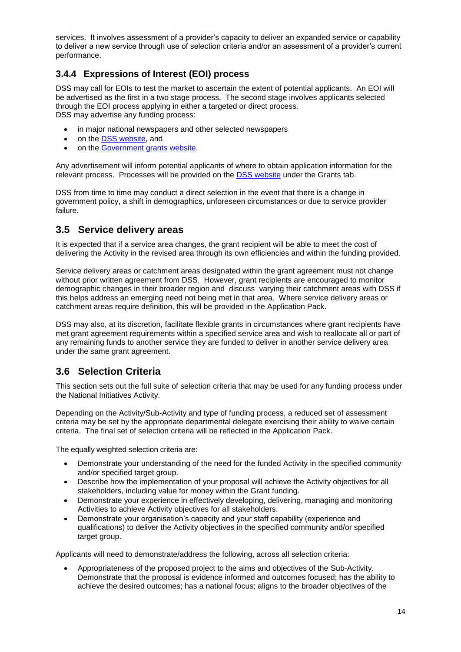services. It involves assessment of a provider's capacity to deliver an expanded service or capability to deliver a new service through use of selection criteria and/or an assessment of a provider's current performance.

#### **3.4.4 Expressions of Interest (EOI) process**

DSS may call for EOIs to test the market to ascertain the extent of potential applicants. An EOI will be advertised as the first in a two stage process. The second stage involves applicants selected through the EOI process applying in either a targeted or direct process. DSS may advertise any funding process:

- in major national newspapers and other selected newspapers
- on the [DSS website,](http://www.dss.gov.au/) and
- on the [Government grants website.](http://www.grantslink.gov.au/)

Any advertisement will inform potential applicants of where to obtain application information for the relevant process. Processes will be provided on the [DSS website](http://www.dss.gov.au/) under the Grants tab.

DSS from time to time may conduct a direct selection in the event that there is a change in government policy, a shift in demographics, unforeseen circumstances or due to service provider failure.

#### **3.5 Service delivery areas**

It is expected that if a service area changes, the grant recipient will be able to meet the cost of delivering the Activity in the revised area through its own efficiencies and within the funding provided.

Service delivery areas or catchment areas designated within the grant agreement must not change without prior written agreement from DSS. However, grant recipients are encouraged to monitor demographic changes in their broader region and discuss varying their catchment areas with DSS if this helps address an emerging need not being met in that area. Where service delivery areas or catchment areas require definition, this will be provided in the Application Pack.

DSS may also, at its discretion, facilitate flexible grants in circumstances where grant recipients have met grant agreement requirements within a specified service area and wish to reallocate all or part of any remaining funds to another service they are funded to deliver in another service delivery area under the same grant agreement.

## **3.6 Selection Criteria**

This section sets out the full suite of selection criteria that may be used for any funding process under the National Initiatives Activity.

Depending on the Activity/Sub-Activity and type of funding process, a reduced set of assessment criteria may be set by the appropriate departmental delegate exercising their ability to waive certain criteria. The final set of selection criteria will be reflected in the Application Pack.

The equally weighted selection criteria are:

- Demonstrate your understanding of the need for the funded Activity in the specified community and/or specified target group.
- Describe how the implementation of your proposal will achieve the Activity objectives for all stakeholders, including value for money within the Grant funding.
- Demonstrate your experience in effectively developing, delivering, managing and monitoring Activities to achieve Activity objectives for all stakeholders.
- Demonstrate your organisation's capacity and your staff capability (experience and qualifications) to deliver the Activity objectives in the specified community and/or specified target group.

Applicants will need to demonstrate/address the following, across all selection criteria:

 Appropriateness of the proposed project to the aims and objectives of the Sub-Activity. Demonstrate that the proposal is evidence informed and outcomes focused; has the ability to achieve the desired outcomes; has a national focus; aligns to the broader objectives of the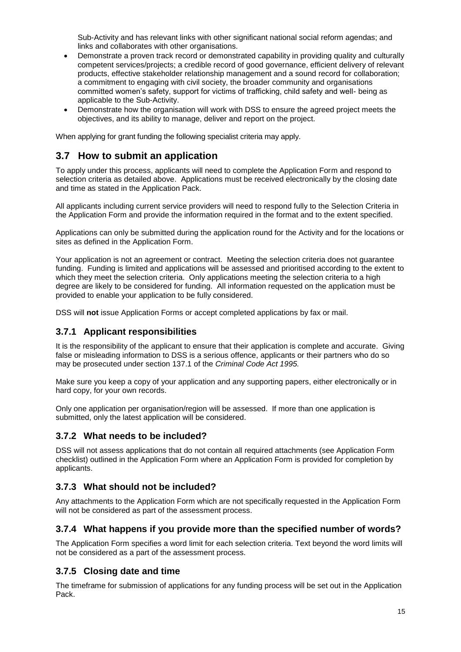Sub-Activity and has relevant links with other significant national social reform agendas; and links and collaborates with other organisations.

- Demonstrate a proven track record or demonstrated capability in providing quality and culturally competent services/projects; a credible record of good governance, efficient delivery of relevant products, effective stakeholder relationship management and a sound record for collaboration; a commitment to engaging with civil society, the broader community and organisations committed women's safety, support for victims of trafficking, child safety and well- being as applicable to the Sub-Activity.
- Demonstrate how the organisation will work with DSS to ensure the agreed project meets the objectives, and its ability to manage, deliver and report on the project.

When applying for grant funding the following specialist criteria may apply.

#### **3.7 How to submit an application**

To apply under this process, applicants will need to complete the Application Form and respond to selection criteria as detailed above. Applications must be received electronically by the closing date and time as stated in the Application Pack.

All applicants including current service providers will need to respond fully to the Selection Criteria in the Application Form and provide the information required in the format and to the extent specified.

Applications can only be submitted during the application round for the Activity and for the locations or sites as defined in the Application Form.

Your application is not an agreement or contract. Meeting the selection criteria does not guarantee funding. Funding is limited and applications will be assessed and prioritised according to the extent to which they meet the selection criteria. Only applications meeting the selection criteria to a high degree are likely to be considered for funding. All information requested on the application must be provided to enable your application to be fully considered.

DSS will **not** issue Application Forms or accept completed applications by fax or mail.

#### **3.7.1 Applicant responsibilities**

It is the responsibility of the applicant to ensure that their application is complete and accurate. Giving false or misleading information to DSS is a serious offence, applicants or their partners who do so may be prosecuted under section 137.1 of the *Criminal Code Act 1995.*

Make sure you keep a copy of your application and any supporting papers, either electronically or in hard copy, for your own records.

Only one application per organisation/region will be assessed. If more than one application is submitted, only the latest application will be considered.

#### **3.7.2 What needs to be included?**

DSS will not assess applications that do not contain all required attachments (see Application Form checklist) outlined in the Application Form where an Application Form is provided for completion by applicants.

#### **3.7.3 What should not be included?**

Any attachments to the Application Form which are not specifically requested in the Application Form will not be considered as part of the assessment process.

#### **3.7.4 What happens if you provide more than the specified number of words?**

The Application Form specifies a word limit for each selection criteria. Text beyond the word limits will not be considered as a part of the assessment process.

#### **3.7.5 Closing date and time**

The timeframe for submission of applications for any funding process will be set out in the Application Pack.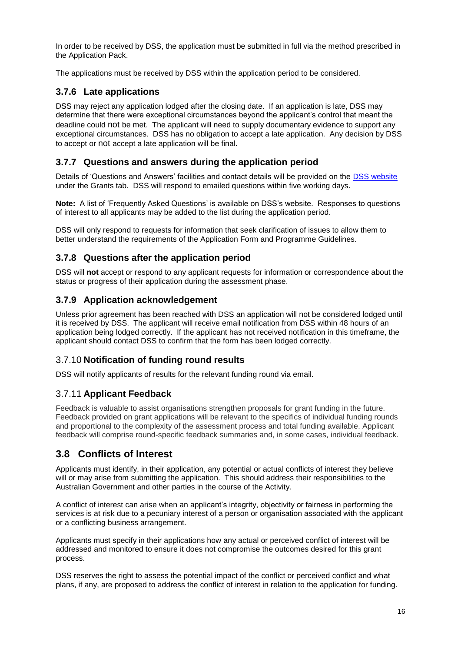In order to be received by DSS, the application must be submitted in full via the method prescribed in the Application Pack.

The applications must be received by DSS within the application period to be considered.

#### **3.7.6 Late applications**

DSS may reject any application lodged after the closing date. If an application is late, DSS may determine that there were exceptional circumstances beyond the applicant's control that meant the deadline could not be met. The applicant will need to supply documentary evidence to support any exceptional circumstances. DSS has no obligation to accept a late application. Any decision by DSS to accept or not accept a late application will be final.

#### **3.7.7 Questions and answers during the application period**

Details of 'Questions and Answers' facilities and contact details will be provided on the [DSS website](http://www.dss.gov.au/) under the Grants tab. DSS will respond to emailed questions within five working days.

**Note:** A list of 'Frequently Asked Questions' is available on DSS's website. Responses to questions of interest to all applicants may be added to the list during the application period.

DSS will only respond to requests for information that seek clarification of issues to allow them to better understand the requirements of the Application Form and Programme Guidelines.

#### **3.7.8 Questions after the application period**

DSS will **not** accept or respond to any applicant requests for information or correspondence about the status or progress of their application during the assessment phase.

#### **3.7.9 Application acknowledgement**

Unless prior agreement has been reached with DSS an application will not be considered lodged until it is received by DSS. The applicant will receive email notification from DSS within 48 hours of an application being lodged correctly. If the applicant has not received notification in this timeframe, the applicant should contact DSS to confirm that the form has been lodged correctly.

#### 3.7.10 **Notification of funding round results**

DSS will notify applicants of results for the relevant funding round via email.

#### 3.7.11 **Applicant Feedback**

Feedback is valuable to assist organisations strengthen proposals for grant funding in the future. Feedback provided on grant applications will be relevant to the specifics of individual funding rounds and proportional to the complexity of the assessment process and total funding available. Applicant feedback will comprise round-specific feedback summaries and, in some cases, individual feedback.

#### **3.8 Conflicts of Interest**

Applicants must identify, in their application, any potential or actual conflicts of interest they believe will or may arise from submitting the application. This should address their responsibilities to the Australian Government and other parties in the course of the Activity.

A conflict of interest can arise when an applicant's integrity, objectivity or fairness in performing the services is at risk due to a pecuniary interest of a person or organisation associated with the applicant or a conflicting business arrangement.

Applicants must specify in their applications how any actual or perceived conflict of interest will be addressed and monitored to ensure it does not compromise the outcomes desired for this grant process.

DSS reserves the right to assess the potential impact of the conflict or perceived conflict and what plans, if any, are proposed to address the conflict of interest in relation to the application for funding.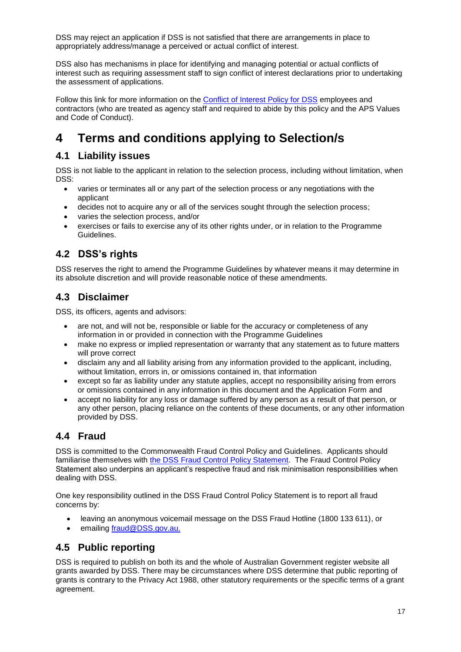DSS may reject an application if DSS is not satisfied that there are arrangements in place to appropriately address/manage a perceived or actual conflict of interest.

DSS also has mechanisms in place for identifying and managing potential or actual conflicts of interest such as requiring assessment staff to sign conflict of interest declarations prior to undertaking the assessment of applications.

Follow this link for more information on the [Conflict of Interest Policy for DSS](http://www.dss.gov.au/about-dss/doing-business-with-dss#conflict) employees and contractors (who are treated as agency staff and required to abide by this policy and the APS Values and Code of Conduct).

## **4 Terms and conditions applying to Selection/s**

### **4.1 Liability issues**

DSS is not liable to the applicant in relation to the selection process, including without limitation, when DSS:

- varies or terminates all or any part of the selection process or any negotiations with the applicant
- decides not to acquire any or all of the services sought through the selection process;
- varies the selection process, and/or
- exercises or fails to exercise any of its other rights under, or in relation to the Programme Guidelines.

## **4.2 DSS's rights**

DSS reserves the right to amend the Programme Guidelines by whatever means it may determine in its absolute discretion and will provide reasonable notice of these amendments.

### **4.3 Disclaimer**

DSS, its officers, agents and advisors:

- are not, and will not be, responsible or liable for the accuracy or completeness of any information in or provided in connection with the Programme Guidelines
- make no express or implied representation or warranty that any statement as to future matters will prove correct
- disclaim any and all liability arising from any information provided to the applicant, including, without limitation, errors in, or omissions contained in, that information
- except so far as liability under any statute applies, accept no responsibility arising from errors or omissions contained in any information in this document and the Application Form and
- accept no liability for any loss or damage suffered by any person as a result of that person, or any other person, placing reliance on the contents of these documents, or any other information provided by DSS.

## **4.4 Fraud**

DSS is committed to the Commonwealth Fraud Control Policy and Guidelines. Applicants should familiarise themselves with [the DSS Fraud Control Policy Statement.](http://www.dss.gov.au/grants-funding/fahcsia-fraud-policy-statement) The Fraud Control Policy Statement also underpins an applicant's respective fraud and risk minimisation responsibilities when dealing with DSS.

One key responsibility outlined in the DSS Fraud Control Policy Statement is to report all fraud concerns by:

- leaving an anonymous voicemail message on the DSS Fraud Hotline (1800 133 611), or
- emailing [fraud@DSS.gov.au.](mailto:fraud@fahcsia.gov.au)

## **4.5 Public reporting**

DSS is required to publish on both its and the whole of Australian Government register website all grants awarded by DSS. There may be circumstances where DSS determine that public reporting of grants is contrary to the Privacy Act 1988, other statutory requirements or the specific terms of a grant agreement.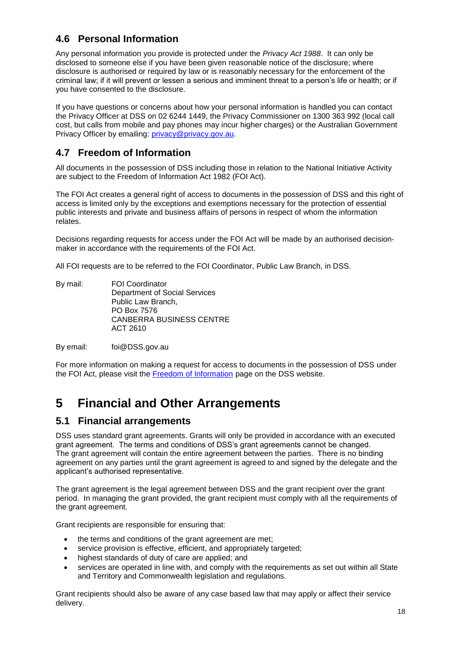## **4.6 Personal Information**

Any personal information you provide is protected under the *Privacy Act 1988*. It can only be disclosed to someone else if you have been given reasonable notice of the disclosure; where disclosure is authorised or required by law or is reasonably necessary for the enforcement of the criminal law; if it will prevent or lessen a serious and imminent threat to a person's life or health; or if you have consented to the disclosure.

If you have questions or concerns about how your personal information is handled you can contact the Privacy Officer at DSS on 02 6244 1449, the Privacy Commissioner on 1300 363 992 (local call cost, but calls from mobile and pay phones may incur higher charges) or the Australian Government Privacy Officer by emailing: [privacy@privacy.gov.au.](mailto:privacy@privacy.gov.au)

## **4.7 Freedom of Information**

All documents in the possession of DSS including those in relation to the National Initiative Activity are subject to the Freedom of Information Act 1982 (FOI Act).

The FOI Act creates a general right of access to documents in the possession of DSS and this right of access is limited only by the exceptions and exemptions necessary for the protection of essential public interests and private and business affairs of persons in respect of whom the information relates.

Decisions regarding requests for access under the FOI Act will be made by an authorised decision‐ maker in accordance with the requirements of the FOI Act.

All FOI requests are to be referred to the FOI Coordinator, Public Law Branch, in DSS.

By mail: FOI Coordinator Department of Social Services Public Law Branch, PO Box 7576 CANBERRA BUSINESS CENTRE ACT 2610

By email: [foi@DSS.gov.au](mailto:foi@fahcsia.gov.au)

For more information on making a request for access to documents in the possession of DSS under the FOI Act, please visit the [Freedom of Information](http://www.dss.gov.au/contact/freedom-of-information) page on the DSS website.

## **5 Financial and Other Arrangements**

#### **5.1 Financial arrangements**

DSS uses standard grant agreements. Grants will only be provided in accordance with an executed grant agreement. The terms and conditions of DSS's grant agreements cannot be changed. The grant agreement will contain the entire agreement between the parties. There is no binding agreement on any parties until the grant agreement is agreed to and signed by the delegate and the applicant's authorised representative.

The grant agreement is the legal agreement between DSS and the grant recipient over the grant period. In managing the grant provided, the grant recipient must comply with all the requirements of the grant agreement.

Grant recipients are responsible for ensuring that:

- the terms and conditions of the grant agreement are met:
- service provision is effective, efficient, and appropriately targeted;
- highest standards of duty of care are applied; and
- services are operated in line with, and comply with the requirements as set out within all State and Territory and Commonwealth legislation and regulations.

Grant recipients should also be aware of any case based law that may apply or affect their service delivery.